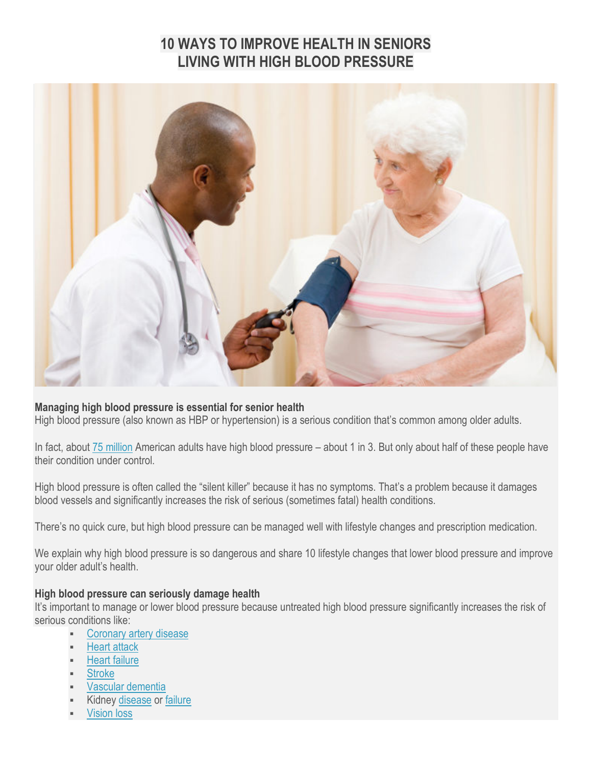# **10 WAYS TO IMPROVE HEALTH IN SENIORS LIVING WITH HIGH BLOOD PRESSURE**



#### **Managing high blood pressure is essential for senior health**

High blood pressure (also known as HBP or hypertension) is a serious condition that's common among older adults.

In fact, about [75 million](https://www.cdc.gov/bloodpressure/facts.htm) American adults have high blood pressure – about 1 in 3. But only about half of these people have their condition under control.

High blood pressure is often called the "silent killer" because it has no symptoms. That's a problem because it damages blood vessels and significantly increases the risk of serious (sometimes fatal) health conditions.

There's no quick cure, but high blood pressure can be managed well with lifestyle changes and prescription medication.

We explain why high blood pressure is so dangerous and share 10 lifestyle changes that lower blood pressure and improve your older adult's health.

#### **High blood pressure can seriously damage health**

It's important to manage or lower blood pressure because untreated high blood pressure significantly increases the risk of serious conditions like:

- [Coronary artery disease](http://www.webmd.com/heart-disease/guide/heart-disease-coronary-artery-disease#1)
- [Heart attack](http://www.heart.org/HEARTORG/Conditions/HeartAttack/AboutHeartAttacks/About-Heart-Attacks_UCM_002038_Article.jsp#.WIhNk_krKM8)
- **[Heart failure](http://dailycaring.com/must-know-for-caregivers-heart-failure-symptoms/)**
- **[Stroke](http://dailycaring.com/how-to-respond-to-signs-of-stroke/)**
- [Vascular dementia](http://dailycaring.com/what-is-vascular-dementia-everything-you-need-to-know/)
- Kidney [disease](https://www.kidney.org/kidneydisease/aboutckd) or [failure](http://www.medicinenet.com/kidney_failure/article.htm)
- [Vision loss](http://dailycaring.com/catch-aging-eyes-problems-before-major-vision-loss/)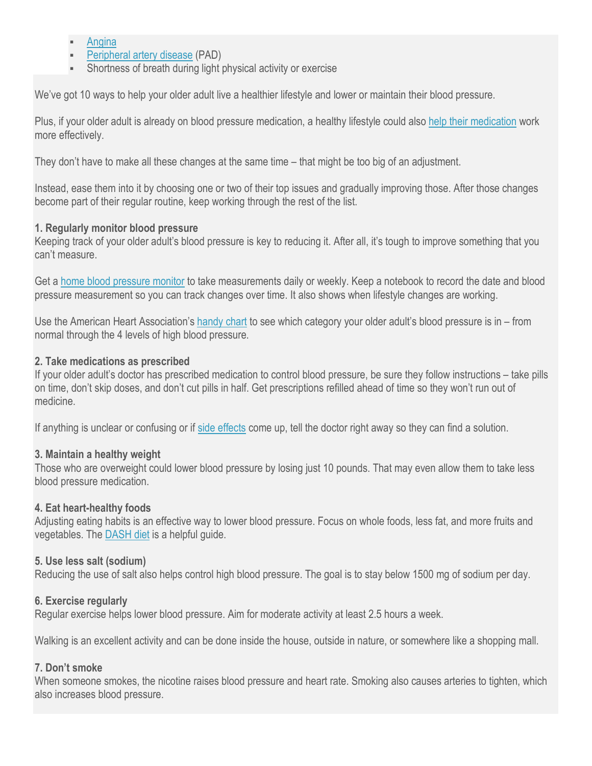- **[Angina](http://www.heart.org/HEARTORG/Conditions/HeartAttack/SymptomsDiagnosisofHeartAttack/Angina-Chest-Pain_UCM_450308_Article.jsp#.WIhNZvkrKM8)**
- [Peripheral artery disease](http://www.heart.org/HEARTORG/Conditions/VascularHealth/PeripheralArteryDisease/Symptoms-and-Diagnosis-of-PAD_UCM_301306_Article.jsp#.WIhNMPkrKM8) (PAD)
- Shortness of breath during light physical activity or exercise

We've got 10 ways to help your older adult live a healthier lifestyle and lower or maintain their blood pressure.

Plus, if your older adult is already on blood pressure medication, a healthy lifestyle could also [help their medication](https://www.heart.org/HEARTORG/Conditions/HighBloodPressure/MakeChangesThatMatter/Changes-You-Can-Make-to-Manage-High-Blood-Pressure_UCM_002054_Article.jsp) work more effectively.

They don't have to make all these changes at the same time – that might be too big of an adjustment.

Instead, ease them into it by choosing one or two of their top issues and gradually improving those. After those changes become part of their regular routine, keep working through the rest of the list.

## **1. Regularly monitor blood pressure**

Keeping track of your older adult's blood pressure is key to reducing it. After all, it's tough to improve something that you can't measure.

Get a [home blood pressure monitor](http://amzn.to/2kqWoKe) to take measurements daily or weekly. Keep a notebook to record the date and blood pressure measurement so you can track changes over time. It also shows when lifestyle changes are working.

Use the American Heart Association's [handy](https://www.heart.org/HEARTORG/Conditions/HighBloodPressure/MakeChangesThatMatter/Changes-You-Can-Make-to-Manage-High-Blood-Pressure_UCM_002054_Article.jsp) chart to see which category your older adult's blood pressure is in – from normal through the 4 levels of high blood pressure.

## **2. Take medications as prescribed**

If your older adult's doctor has prescribed medication to control blood pressure, be sure they follow instructions – take pills on time, don't skip doses, and don't cut pills in half. Get prescriptions refilled ahead of time so they won't run out of medicine.

If anything is unclear or confusing or if [side effects](http://www.rxlist.com/high_blood_pressure_hypertension_medications-page8/drugs-condition.htm#what_are_common_high_blood_pressure_side_effects) come up, tell the doctor right away so they can find a solution.

# **3. Maintain a healthy weight**

Those who are overweight could lower blood pressure by losing just 10 pounds. That may even allow them to take less blood pressure medication.

#### **4. Eat heart-healthy foods**

Adjusting eating habits is an effective way to lower blood pressure. Focus on whole foods, less fat, and more fruits and vegetables. The [DASH diet](http://www.webmd.com/hypertension-high-blood-pressure/tc/high-blood-pressure-nutrition-tips-topic-overview#1) is a helpful guide.

# **5. Use less salt (sodium)**

Reducing the use of salt also helps control high blood pressure. The goal is to stay below 1500 mg of sodium per day.

# **6. Exercise regularly**

Regular exercise helps lower blood pressure. Aim for moderate activity at least 2.5 hours a week.

Walking is an excellent activity and can be done inside the house, outside in nature, or somewhere like a shopping mall.

# **7. Don't smoke**

When someone smokes, the nicotine raises blood pressure and heart rate. Smoking also causes arteries to tighten, which also increases blood pressure.